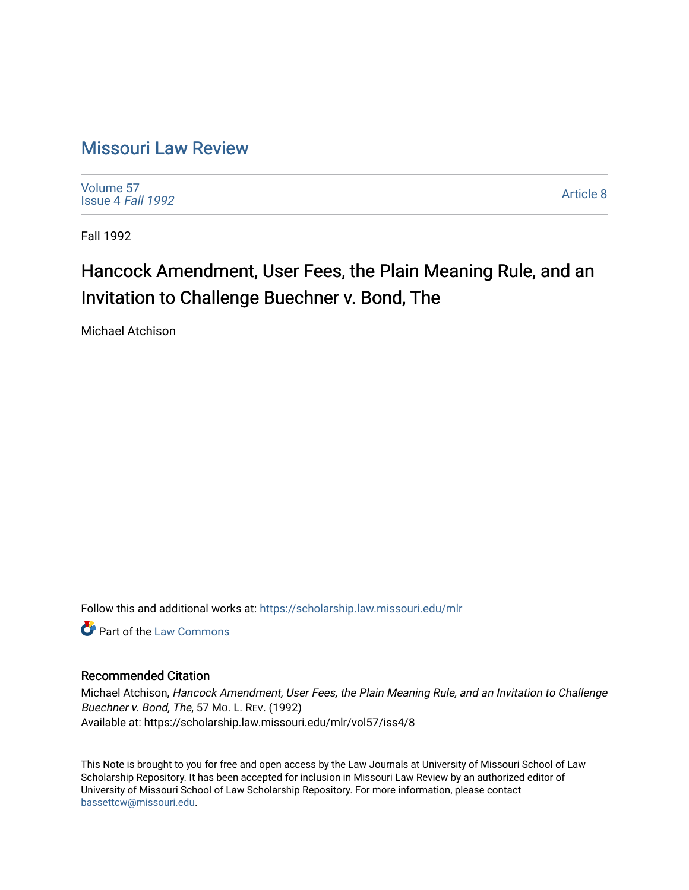# [Missouri Law Review](https://scholarship.law.missouri.edu/mlr)

[Volume 57](https://scholarship.law.missouri.edu/mlr/vol57) [Issue 4](https://scholarship.law.missouri.edu/mlr/vol57/iss4) Fall 1992

[Article 8](https://scholarship.law.missouri.edu/mlr/vol57/iss4/8) 

Fall 1992

# Hancock Amendment, User Fees, the Plain Meaning Rule, and an Invitation to Challenge Buechner v. Bond, The

Michael Atchison

Follow this and additional works at: [https://scholarship.law.missouri.edu/mlr](https://scholarship.law.missouri.edu/mlr?utm_source=scholarship.law.missouri.edu%2Fmlr%2Fvol57%2Fiss4%2F8&utm_medium=PDF&utm_campaign=PDFCoverPages)

**C** Part of the [Law Commons](http://network.bepress.com/hgg/discipline/578?utm_source=scholarship.law.missouri.edu%2Fmlr%2Fvol57%2Fiss4%2F8&utm_medium=PDF&utm_campaign=PDFCoverPages)

# Recommended Citation

Michael Atchison, Hancock Amendment, User Fees, the Plain Meaning Rule, and an Invitation to Challenge Buechner v. Bond, The, 57 MO. L. REV. (1992) Available at: https://scholarship.law.missouri.edu/mlr/vol57/iss4/8

This Note is brought to you for free and open access by the Law Journals at University of Missouri School of Law Scholarship Repository. It has been accepted for inclusion in Missouri Law Review by an authorized editor of University of Missouri School of Law Scholarship Repository. For more information, please contact [bassettcw@missouri.edu](mailto:bassettcw@missouri.edu).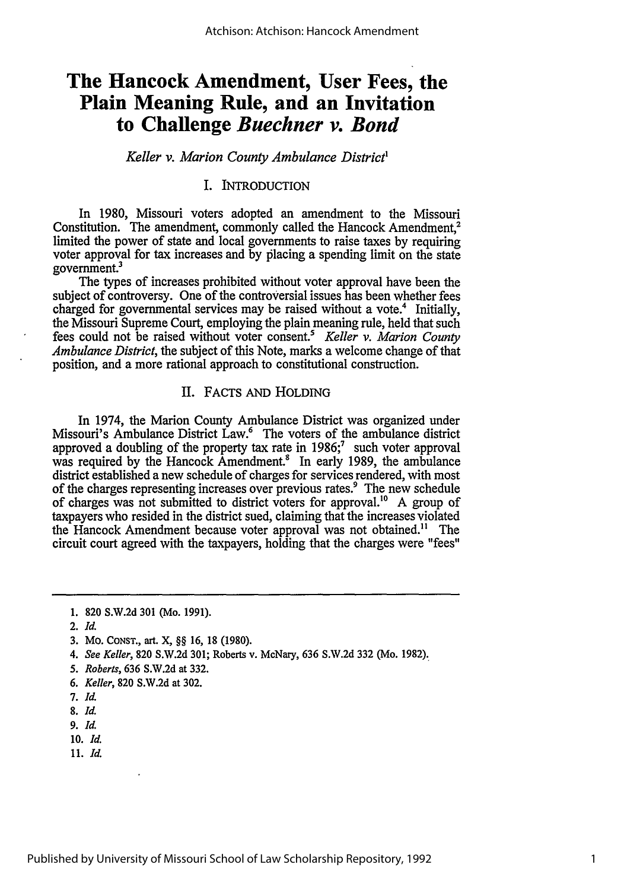# **The Hancock Amendment, User Fees, the Plain Meaning Rule, and an Invitation to Challenge** *Buechner v. Bond*

#### *Keller v. Marion County Ambulance District'*

# I. INTRODUCTION

In 1980, Missouri voters adopted an amendment to the Missouri Constitution. The amendment, commonly called the Hancock Amendment.<sup>2</sup> limited the power of state and local governments to raise taxes by requiring voter approval for tax increases and by placing a spending limit on the state government.3

The types of increases prohibited without voter approval have been the subject of controversy. One of the controversial issues has been whether fees charged for governmental services may be raised without a vote.<sup>4</sup> Initially, the Missouri Supreme Court, employing the plain meaning rule, held that such fees could not be raised without voter consent.5 *Keller v. Marion County Ambulance District,* the subject of this Note, marks a welcome change of that position, and a more rational approach to constitutional construction.

## II. FACTS AND HOLDING

In 1974, the Marion County Ambulance District was organized under Missouri's Ambulance District Law.<sup>6</sup> The voters of the ambulance district approved a doubling of the property tax rate in  $1986$ ;<sup>7</sup> such voter approval was required by the Hancock Amendment.<sup>8</sup> In early 1989, the ambulance district established a new schedule of charges for services rendered, with most of the charges representing increases over previous rates.<sup>9</sup> The new schedule of charges was not submitted to district voters for approval.<sup>10</sup> A group of taxpayers who resided in the district sued, claiming that the increases violated the Hancock Amendment because voter approval was not obtained." The circuit court agreed with the taxpayers, holding that the charges were "fees"

- **10.** *Id.*
- 11. *Id.*

<sup>1. 820</sup> S.W.2d 301 (Mo. 1991).

<sup>2.</sup> *Id.*

<sup>3.</sup> Mo. **CONST.,** art. X, §§ 16, 18 (1980).

*<sup>4.</sup> See Keller,* 820 S.W.2d 301; Roberts v. McNary, 636 S.W.2d 332 (Mo. 1982).

*<sup>5.</sup> Roberts,* 636 S.W.2d at 332.

*<sup>6.</sup> Keller,* 820 S.W.2d at 302.

*<sup>7.</sup> Id.*

<sup>8.</sup> *Id.*

**<sup>9.</sup>** *Id.*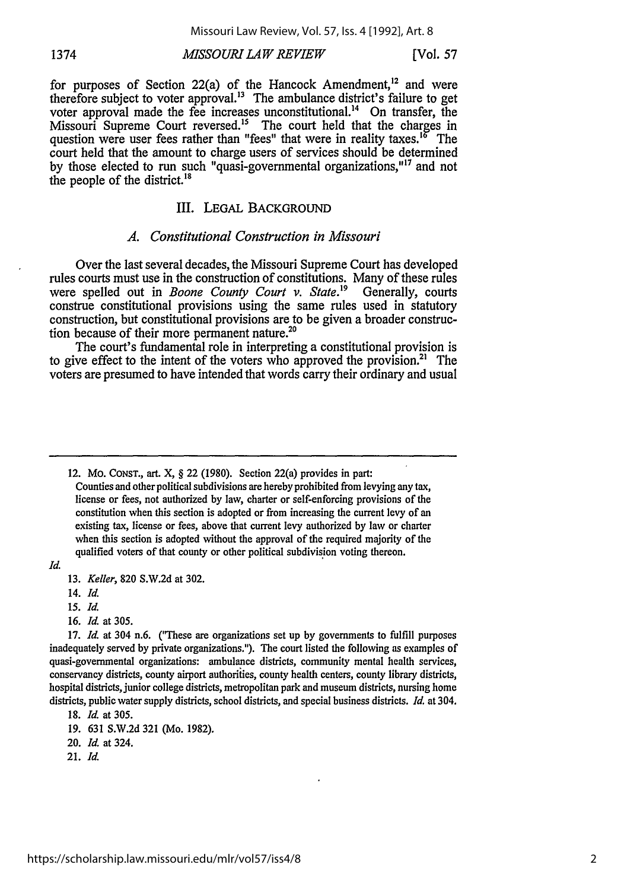# *MISSOURI LAW REVIEW* 1374 [Vol. **57**

for purposes of Section 22(a) of the Hancock Amendment,<sup>12</sup> and were therefore subject to voter approval.<sup>13</sup> The ambulance district's failure to get voter approval made the fee increases unconstitutional.<sup>14</sup> On transfer, the Missouri Supreme Court reversed.<sup>15</sup> The court held that the charges in question were user fees rather than "fees" that were in reality taxes.<sup>16</sup> The court held that the amount to charge users of services should be determined by those elected to run such "quasi-governmental organizations,"<sup>17</sup> and not the people of the district.<sup>18</sup>

#### III. LEGAL BACKGROUND

#### *A. Constitutional Construction in Missouri*

Over the last several decades, the Missouri Supreme Court has developed rules courts must use in the construction of constitutions. Many of these rules were spelled out in *Boone County Court v. State.'9* Generally, courts construe constitutional provisions using the same rules used in statutory construction, but constitutional provisions are to be given a broader construction because of their more permanent nature. $2^{\circ}$ 

The court's fundamental role in interpreting a constitutional provision is to give effect to the intent of the voters who approved the provision.<sup>21</sup> The voters are presumed to have intended that words carry their ordinary and usual

12. Mo. CONST., art. X, § 22 (1980). Section 22(a) provides in part:

Counties and other political subdivisions are hereby prohibited from levying any tax, license or fees, not authorized by law, charter or self-enforcing provisions of the constitution when this section is adopted or from increasing the current levy of an existing tax, license or fees, above that current levy authorized by law or charter when this section is adopted without the approval of the required majority of the qualified voters of that county or other political subdivision voting thereon.

- *15. Id.*
- 16. *Id.* at 305.

- 20. *Id.* at 324.
- 21. *Id.*

*Id.*

<sup>13.</sup> *Keller,* 820 S.W.2d at 302.

<sup>14.</sup> *Id.*

<sup>17.</sup> *Id.* at 304 n.6. ("These are organizations set up by governments to fulfill purposes inadequately served by private organizations."). The court listed the following as examples of quasi-governmental organizations: ambulance districts, community mental health services, conservancy districts, county airport authorities, county health centers, county library districts, hospital districts, junior college districts, metropolitan park and museum districts, nursing home districts, public water supply districts, school districts, and special business districts. *Id.* at 304.

<sup>18.</sup> *Id.* at 305.

<sup>19. 631</sup> S.W.2d 321 (Mo. 1982).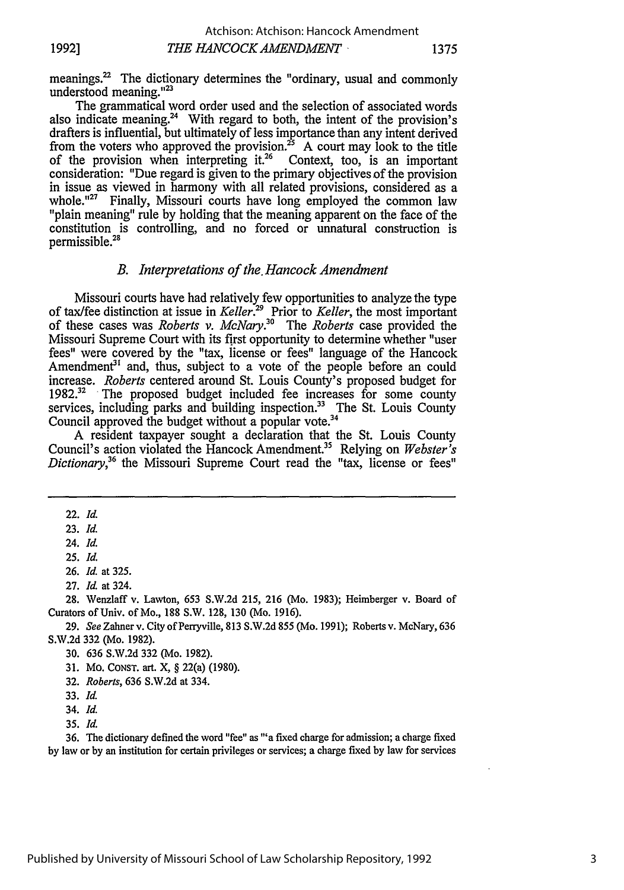meanings.<sup>22</sup> The dictionary determines the "ordinary, usual and commonly understood meaning."23

The grammatical word order used and the selection of associated words also indicate meaning.<sup>24</sup> With regard to both, the intent of the provision's drafters is influential, but ultimately of less importance than any intent derived from the voters who approved the provision.<sup>25</sup> A court may look to the title of the provision when interpreting it.<sup>26</sup> Context, too, is an important consideration: "Due regard is given to the primary objectives of the provision in issue as viewed in harmony with all related provisions, considered as a whole."<sup>27</sup> Finally, Missouri courts have long employed the common law "plain meaning" rule by holding that the meaning apparent on the face of the constitution is controlling, and no forced or unnatural construction is permissible.28

# *B. Interpretations of the. Hancock Amendment*

Missouri courts have had relatively few opportunities to analyze the type of tax/fee distinction at issue in *Keller.29* Prior to *Keller,* the most important of these cases was *Roberts v. McNary. 0* The *Roberts* case provided the Missouri Supreme Court with its first opportunity to determine whether "user fees" were covered by the "tax, license or fees" language of the Hancock Amendment<sup>31</sup> and, thus, subject to a vote of the people before an could increase. *Roberts* centered around St. Louis County's proposed budget for 1982.<sup>32</sup> The proposed budget included fee increases for some county services, including parks and building inspection.<sup>33</sup> The St. Louis County Council approved the budget without a popular vote.<sup>34</sup>

A resident taxpayer sought a declaration that the St. Louis County Council's action violated the Hancock Amendment.35 Relying on *Webster's Dictionary,36* the Missouri Supreme Court read the "tax, license or fees"

28. Wenzlaff v. Lawton, 653 S.W.2d 215, 216 (Mo. 1983); Heimberger v. Board of Curators of Univ. of Mo., 188 S.W. 128, 130 (Mo. 1916).

29. *See* Zahner v. City of Perryville, 813 S.W.2d 855 (Mo. 1991); Roberts v. McNary, 636 S.W.2d 332 (Mo. 1982).

30. 636 S.W.2d 332 (Mo. 1982).

**36.** The dictionary defined the word "fee" as "'a fixed charge for admission; a charge fixed by law or by an institution for certain privileges or services; a charge fixed by law for services

<sup>22.</sup> *Id.*

<sup>23.</sup> *Id.*

<sup>24.</sup> *Id.*

<sup>25.</sup> *Id.*

<sup>26.</sup> *Id.* at 325.

<sup>27.</sup> *Id.* at 324.

**<sup>31.</sup>** Mo. CONST. art. X, § 22(a) (1980).

<sup>32.</sup> *Roberts,* 636 S.W.2d at 334.

<sup>33.</sup> *Id.*

<sup>34.</sup> *Id.*

<sup>35.</sup> *Id.*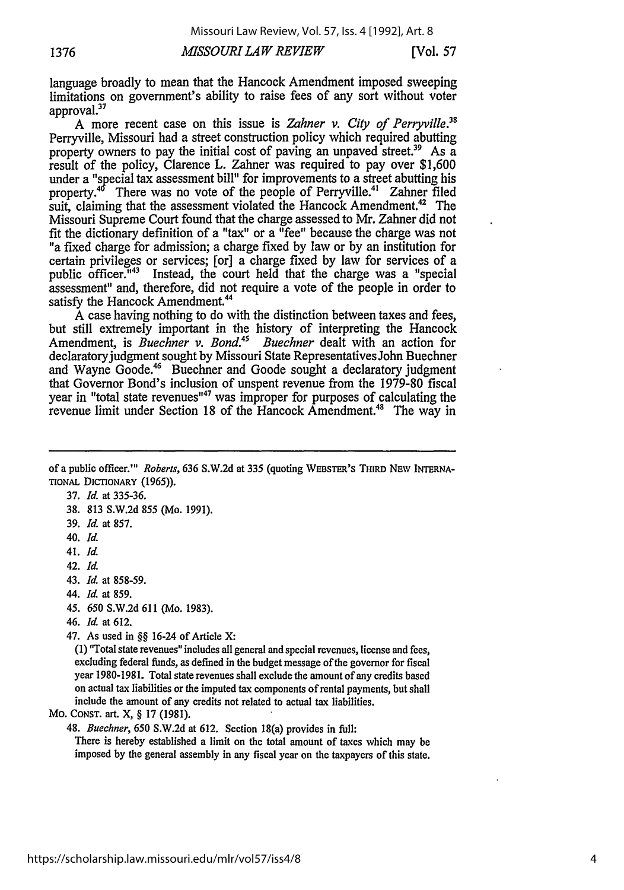# *MISSOURI LA W REVIEW* **1376** [Vol. *57*

language broadly to mean that the Hancock Amendment imposed sweeping limitations on government's ability to raise fees of any sort without voter approval.<sup>37</sup>

A more recent case on this issue is *Zahner v. City of Perryville."* Perryville, Missouri had a street construction policy which required abutting property owners to pay the initial cost of paving an unpaved street.<sup>39</sup> As a result of the policy, Clarence L. Zahner was required to pay over \$1,600 under a "special tax assessment bill" for improvements to a street abutting his property.<sup>46</sup> There was no vote of the people of Perryville.<sup>41</sup> Zahner filed suit, claiming that the assessment violated the Hancock Amendment.<sup>42</sup> The Missouri Supreme Court found that the charge assessed to Mr. Zahner did not fit the dictionary definition of a "tax" or a "fee" because the charge was not "a fixed charge for admission; a charge fixed by law or by an institution for certain privileges or services; [or] a charge fixed by law for services of a public officer."43 Instead, the court held that the charge was a "special assessment" and, therefore, did not require a vote of the people in order to satisfy the Hancock Amendment.<sup>44</sup>

A case having nothing to do with the distinction between taxes and fees, but still extremely important in the history of interpreting the Hancock Amendment, is *Buechner v. Bond." Buechner* dealt with an action for declaratory judgment sought by Missouri State Representatives John Buechner and Wayne Goode.<sup>46</sup> Buechner and Goode sought a declaratory judgment that Governor Bond's inclusion of unspent revenue from the 1979-80 fiscal year in "total state revenues"<sup>47</sup> was improper for purposes of calculating the revenue limit under Section 18 of the Hancock Amendment.<sup>48</sup> The way in

of a public officer."' *Roberts,* 636 S.W.2d at 335 (quoting WEBSTER'S THIRD NEW INrERNA-**TIONAL DICTIONARY (1965)).** 

37. *Id.* at 335-36.

- 38. 813 S.W.2d 855 (Mo. 1991).
- 39. *Id.* at 857.
- 40. *Id.*
- 41. *Id.*
- 42. *Id.*
- 43. *Id.* at 858-59.
- 44. *Id.* at 859.
- *45.* 650 S.W.2d 611 (Mo. 1983).
- 46. *Id.* at 612.

47. As used in §§ 16-24 of Article X:

(1) "'Total state revenues" includes all general and special revenues, license and fees, excluding federal funds, as defined in the budget message of the governor for fiscal year 1980-1981. Total state revenues shall exclude the amount of any credits based on actual tax liabilities or the imputed tax components of rental payments, but shall include the amount of any credits not related to actual tax liabilities.

MO. CONST. art. X, § 17 (1981).

48. *Buechner,* 650 S.W.2d at 612. Section 18(a) provides in full:

There is hereby established a limit on the total amount of taxes which may be imposed by the general assembly in any fiscal year on the taxpayers of this state.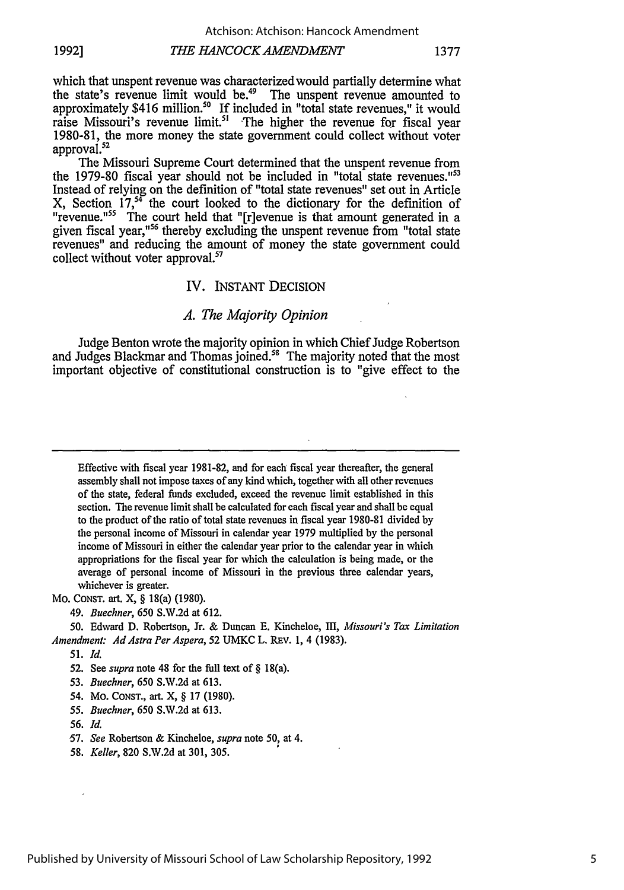*THE HANCOCK AMENDMENT* **1992] 1377**

which that unspent revenue was characterized would partially determine what the state's revenue limit would be.<sup>49</sup> The unspent revenue amounted to approximately \$416 million.<sup>50</sup> If included in "total state revenues," it would raise Missouri's revenue limit.<sup>51</sup> The higher the revenue for fiscal year 1980-81, the more money the state government could collect without voter approval.<sup>52</sup>

The Missouri Supreme Court determined that the unspent revenue from the 1979-80 fiscal year should not be included in "total state revenues."<sup>53</sup> Instead of relying on the definition of "total state revenues" set out in Article X, Section 17,<sup>34</sup> the court looked to the dictionary for the definition of "revenue."<sup>55</sup> The court held that "[r]evenue is that amount generated in a given fiscal year,<sup>"56</sup> thereby excluding the unspent revenue from "total state revenues" and reducing the amount of money the state government could collect without voter approval.<sup>57</sup>

#### IV. INSTANT DECISION

#### *A. The Majority Opinion*

Judge Benton wrote the majority opinion in which Chief Judge Robertson and Judges Blackmar and Thomas joined.<sup>58</sup> The majority noted that the most important objective of constitutional construction is to "give effect to the

Effective with fiscal year **1981-82,** and for each fiscal year thereafter, the general assembly shall not impose taxes of any kind which, together with all other revenues of the state, federal fuids excluded, exceed the revenue limit established in this section. The revenue limit shall be calculated for each fiscal year and shall be equal to the product of the ratio of total state revenues in fiscal year 1980-81 divided by the personal income of Missouri in calendar year 1979 multiplied by the personal income of Missouri in either the calendar year prior to the calendar year in which appropriations for the fiscal year for which the calculation is being made, or the average of personal income of Missouri in the previous three calendar years, whichever is greater.

#### Mo. **CONST.** art. X, § 18(a) (1980).

*49. Buechner,* 650 S.W.2d at 612.

50. Edward D. Robertson, Jr. & Duncan E. Kincheloe, M, *Missouri's Tax Limitation Amendment: Ad Astra Per Aspera, 52 UMKC L. REV. 1, 4 (1983).* 

- 52. See *supra* note 48 for the full text of § 18(a).
- 53. *Buechner,* 650 S.W.2d at 613.
- *54.* Mo. CONST., art. X, § 17 (1980).
- *55. Buechner,* 650 S.W.2d at 613.
- 56. *Id.*
- 57. *See* Robertson & Kincheloe, *supra* note 50, at 4.
- 58. *Keller,* 820 S.W.2d at 301, 305.

<sup>51.</sup> *Id.*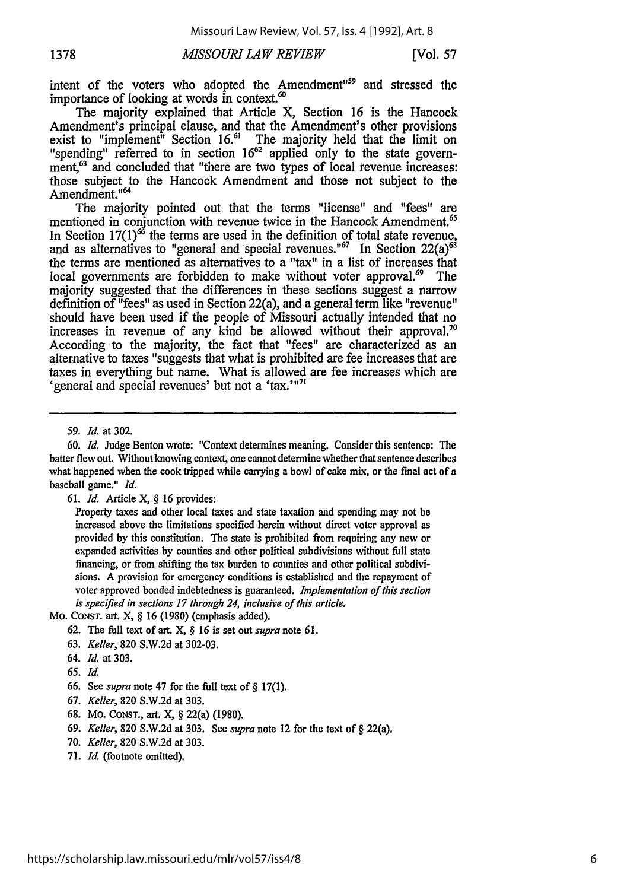intent of the voters who adopted the Amendment"<sup>59</sup> and stressed the importance of looking at words in context.<sup>60</sup>

The majority explained that Article X, Section 16 is the Hancock Amendment's principal clause, and that the Amendment's other provisions exist to "implement" Section 16.<sup>61</sup> The majority held that the limit on "spending" referred to in section 16<sup>62</sup> applied only to the state government,<sup>63</sup> and concluded that "there are two types of local revenue increases: those subject to the Hancock Amendment and those not subject to the Amendment.<sup>1164</sup>

The majority pointed out that the terms "license" and "fees" are mentioned in conjunction with revenue twice in the Hancock Amendment.<sup>65</sup> In Section  $17(1)$ <sup>66</sup> the terms are used in the definition of total state revenue, and as alternatives to "general and special revenues."<sup>67</sup> In Section 22(a)<sup>68</sup> the terms are mentioned as alternatives to a "tax" in a list of increases that local governments are forbidden to make without voter approval.<sup>69</sup> The majority suggested that the differences in these sections suggest a narrow definition of "fees" as used in Section 22(a), and a general term like "revenue" should have been used if the people of Missouri actually intended that no increases in revenue of any kind be allowed without their approval.<sup>70</sup> According to the majority, the fact that "fees" are characterized as an alternative to taxes "suggests that what is prohibited are fee increases that are taxes in everything but name. What is allowed are fee increases which are 'general and special revenues' but not a 'tax.' $n^{71}$ 

- 68. Mo. CoNsT., art. X, § 22(a) (1980).
- 69. *Keller,* 820 S.W.2d at 303. See *supra* note 12 for the text of § 22(a).
- 70. *Keller,* 820 S.W.2d at 303.
- 71. *Id.* (footnote omitted).

<sup>59.</sup> *Id.* at 302.

<sup>60.</sup> *Id.* Judge Benton wrote: "Context determines meaning. Consider this sentence: The batter flew out. Without knowing context, one cannot determine whether that sentence describes what happened when the cook tripped while carrying a bowl of cake mix, or the final act of a baseball game." *Id.*

<sup>61.</sup> *Id.* Article X, § 16 provides:

Property taxes and other local taxes and state taxation and spending may not be increased above the limitations specified herein without direct voter approval as provided by this constitution. The state is prohibited from requiring any new or expanded activities by counties and other political subdivisions without full state financing, or from shifting the tax burden to counties and other political subdivisions. A provision for emergency conditions is established and the repayment of voter approved bonded indebtedness is guaranteed. *Implementation of this* section *is specified in sections 17 through* 24, *inclusive of this article.*

MO. CONST. art. X, § 16 (1980) (emphasis added).

<sup>62.</sup> The full text of art. X, § 16 is set out *supra* note 61.

<sup>63.</sup> *Keller,* 820 S.W.2d at 302-03.

<sup>64.</sup> *Id.* at 303.

*<sup>65.</sup> Id.*

<sup>66.</sup> See *supra* note 47 for the full text of § 17(1).

<sup>67.</sup> *Keller,* 820 S.W.2d at 303.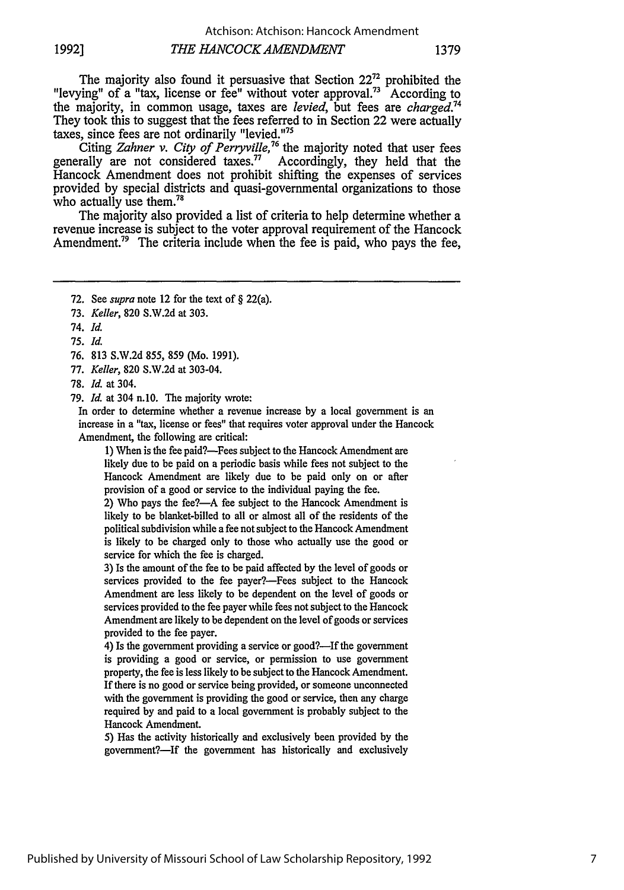The majority also found it persuasive that Section  $22<sup>72</sup>$  prohibited the "levying" of a "tax, license or fee" without voter approval.<sup>73</sup> According to the majority, in common usage, taxes are *levied,* but fees are *charged.74* They took this to suggest that the fees referred to in Section 22 were actually taxes, since fees are not ordinarily "levied. $175$ 

Citing *Zahner v. City of Perryville*,<sup>76</sup> the majority noted that user fees generally are not considered taxes.<sup>77</sup> Accordingly, they held that the Hancock Amendment does not prohibit shifting the expenses of services provided by special districts and quasi-governmental organizations to those who actually use them.<sup>78</sup>

The majority also provided a list of criteria to help determine whether a revenue increase is subject to the voter approval requirement of the Hancock Amendment.<sup>79</sup> The criteria include when the fee is paid, who pays the fee,

78. *Id.* at 304.

79. *Id.* at 304 n.10. The majority wrote:

In order to determine whether a revenue increase by a local government is an increase in a "tax, license or fees" that requires voter approval under the Hancock Amendment, the following are critical:

1) When is the fee paid?-Fees subject to the Hancock Amendment are likely due to be paid on a periodic basis while fees not subject to the Hancock Amendment are likely due to be paid only on or after provision of a good or service to the individual paying the fee.

2) Who pays the fee?--A fee subject to the Hancock Amendment is likely to be blanket-billed to all or almost all of the residents of the political subdivision while a fee not subject to the Hancock Amendment is likely to be charged only to those who actually use the good or service for which the fee is charged.

3) Is the amount of the fee to be paid affected by the level of goods or services provided to the fee payer?—Fees subject to the Hancock Amendment are less likely to be dependent on the level of goods or services provided to the fee payer while fees not subject to the Hancock Amendment are likely to be dependent on the level of goods or services provided to the fee payer.

4) Is the government providing a service or good?—If the government is providing a good or service, or permission to use government property, the fee is less likely to be subject to the Hancock Amendment. If there is no good or service being provided, or someone unconnected with the government is providing the good or service, then any charge required by and paid to a local government is probably subject to the Hancock Amendment.

5) Has the activity historically and exclusively been provided by the government?—If the government has historically and exclusively

<sup>72.</sup> See *supra* note 12 for the text of **§** 22(a).

<sup>73.</sup> *Keller,* 820 S.W.2d at 303.

<sup>74.</sup> *Id.*

**<sup>75.</sup>** *Id.*

<sup>76. 813</sup> S.W.2d 855, 859 (Mo. 1991).

<sup>77.</sup> *Keller,* 820 S.W.2d at 303-04.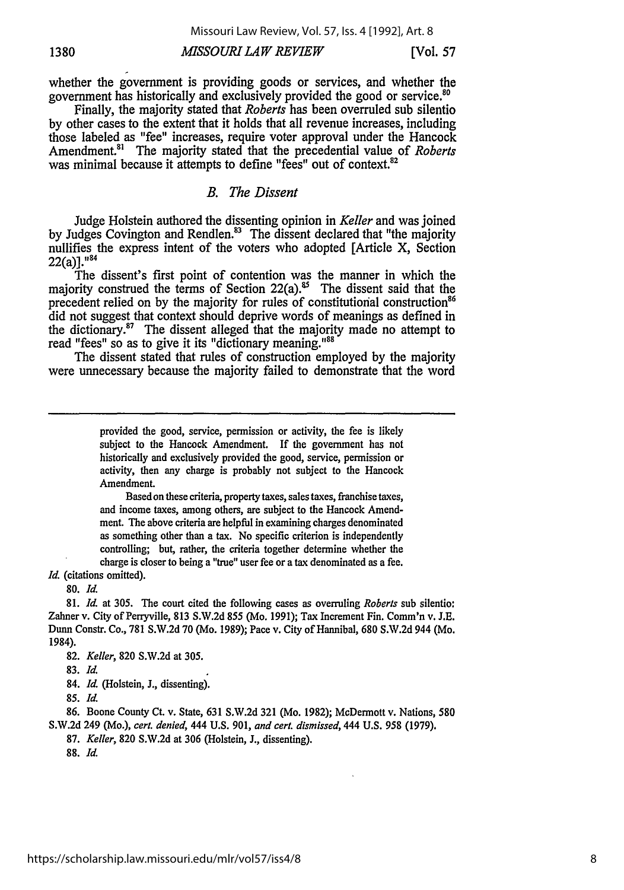# **1380** *MISSOURI LAW REVIEW* [Vol. 57

whether the government is providing goods or services, and whether the government has historically and exclusively provided the good or service.<sup>80</sup>

Finally, the majority stated that *Roberts* has been overruled sub silentio by other cases to the extent that it holds that all revenue increases, including those labeled as "fee" increases, require voter approval under the Hancock Amendment.<sup>81</sup> The majority stated that the precedential value of *Roberts* was minimal because it attempts to define "fees" out of context.<sup>82</sup>

# *B. The Dissent*

Judge Holstein authored the dissenting opinion in *Keller* and was joined by Judges Covington and Rendlen.<sup>83</sup> The dissent declared that "the majority nullifies the express intent of the voters who adopted [Article X, Section  $22(a)$ ]."84

The dissent's first point of contention was the manner in which the majority construed the terms of Section  $22(a)$ .<sup>85</sup> The dissent said that the precedent relied on by the majority for rules of constitutional construction<sup>86</sup> did not suggest that context should deprive words of meanings as defined in the dictionary.<sup>87</sup> The dissent alleged that the majority made no attempt to read "fees" so as to give it its "dictionary meaning."<sup>88</sup>

The dissent stated that rules of construction employed by the majority were unnecessary because the majority failed to demonstrate that the word

> provided the good, service, permission or activity, the fee is likely subject to the Hancock Amendment. If the government has not historically and exclusively provided the good, service, permission or activity, then any charge is probably not subject to the Hancock Amendment.

> Based on these criteria, property taxes, sales taxes, franchise taxes, and income taxes, among others, are subject to the Hancock Amendment. The above criteria are helpful in examining charges denominated as something other than a tax. No specific criterion is independently controlling; but, rather, the criteria together determine whether the charge is closer to being a "true" user fee or a tax denominated as a fee.

*Id.* (citations omitted).

**80.** *Id.*

81. *Id.* at **305.** The court cited the following cases as overruling *Roberts* sub silentio: Zahner v. City of Perryville, 813 S.W.2d 855 (Mo. 1991); Tax Increment Fin. Comm'n v. J.E. Dunn Constr. Co., 781 S.W.2d 70 (Mo. 1989); Pace v. City of Hannibal, 680 S.W.2d 944 (Mo. 1984).

84. *Id.* (Holstein, **J.,** dissenting).

**86.** Boone County Ct. v. State, **631 S.W.2d 321** (Mo. **1982);** McDermott v. Nations, **580 S.W.2d** 249 (Mo.), *cert. denied,* 444 **U.S. 901,** *and cert. dismissed,* 444 **U.S. 958 (1979).**

**87.** *Keller,* **820 S.W.2d** at **306** (Holstein, **J.,** dissenting).

**88.** *Id.*

<sup>82.</sup> *Keller,* 820 S.W.2d at 305.

<sup>83.</sup> *Id.*

**<sup>85.</sup>** *Id.*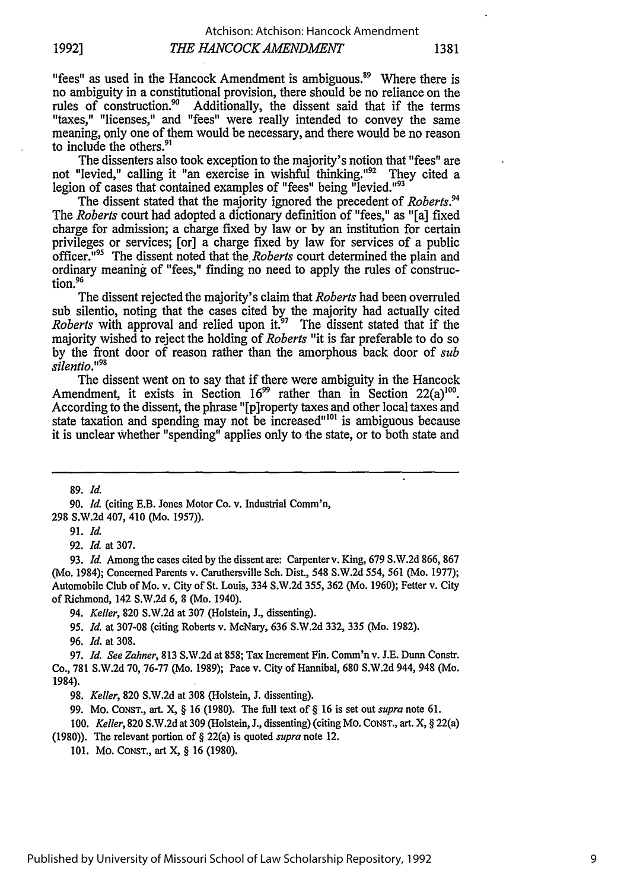"fees" as used in the Hancock Amendment is ambiguous.<sup>89</sup> Where there is no ambiguity in a constitutional provision, there should be no reliance on the rules of construction.<sup>90</sup> Additionally, the dissent said that if the terms Additionally, the dissent said that if the terms "taxes," "licenses," and "fees" were really intended to convey the same meaning, only one of them would be necessary, and there would be no reason to include the others.<sup>91</sup>

The dissenters also took exception to the majority's notion that "fees" are not "levied," calling it "an exercise in wishful thinking."<sup>92</sup> They cited a legion of cases that contained examples of "fees" being "levied."<sup>93</sup>

The dissent stated that the majority ignored the precedent of *Roberts.94* The *Roberts* court had adopted a dictionary definition of "fees," as "[a] fixed charge for admission; a charge fixed by law or by an institution for certain privileges or services; [or] a charge fixed by law for services of a public officer."95 The dissent noted that *the.Roberts* court determined the plain and ordinary meaning of "fees," finding no need to apply the rules of construc-<br>tion.<sup>96</sup>

The dissent rejected the majority's claim that *Roberts* had been overruled sub silentio, noting that the cases cited by the majority had actually cited *Roberts* with approval and relied upon it.<sup>97</sup> The dissent stated that if the majority wished to reject the holding of *Roberts* "it is far preferable to do so by the front door of reason rather than the amorphous back door of *sub silentio.<sup>98</sup>*

The dissent went on to say that if there were ambiguity in the Hancock Amendment, it exists in Section 16<sup>99</sup> rather than in Section 22(a)<sup>100</sup>. According to the dissent, the phrase "[p]roperty taxes and other local taxes and state taxation and spending may not be increased<sup>"101</sup> is ambiguous because it is unclear Whether "spending" applies only to the state, or to both state and

89. *Id.*

91. *Id.*

92. *Id.* at 307.

93. *Id.* Among the cases cited by the dissent are: Carpenterv. King, 679 S.W.2d 866, 867 (Mo. 1984); Concerned Parents v. Caruthersville Sch. Dist., 548 S.W.2d *554,* 561 (Mo. 1977); Automobile Club of Mo. v. City of St. Louis, 334 S.W.2d 355, 362 (Mo. 1960); Fetter v. City of Richmond, 142 S.W.2d 6, 8 (Mo. 1940).

94. *Keller,* 820 S.W.2d at 307 (Holstein, J., dissenting).

95. *Id.* at 307-08 (citing Roberts v. McNary, 636 S.W.2d 332, 335 (Mo. 1982).

96. *Id.* at 308.

97. *Id. See Zahner,* 813 S.W.2d at 858; Tax Increment Fin. Comm'n v. J.E. Dunn Constr. Co., 781 **S.W.2d 70, 76-77** (Mo. 1989); Pace v. City of Hannibal, **680 S.W.2d** 944, 948 (Mo. 1984).

98. *Keller,* 820 S.W.2d at 308 (Holstein, J. dissenting).

99. Mo. CONST., art. X, § 16 (1980). The full text of § 16 is set out *supra* note 61.

100. *Keller,* 820 S.W.2d at 309 (Holstein, J., dissenting) (citing Mo. CONST., art. X, § 22(a)

(1980)). The relevant portion of § 22(a) is quoted *supra* note 12.

101. Mo. CoNsT., art X, § 16 (1980).

<sup>90.</sup> *Id.* (citing E.B. Jones Motor Co. v. Industrial Comm'n, 298 S.W.2d 407, 410 (Mo. 1957)).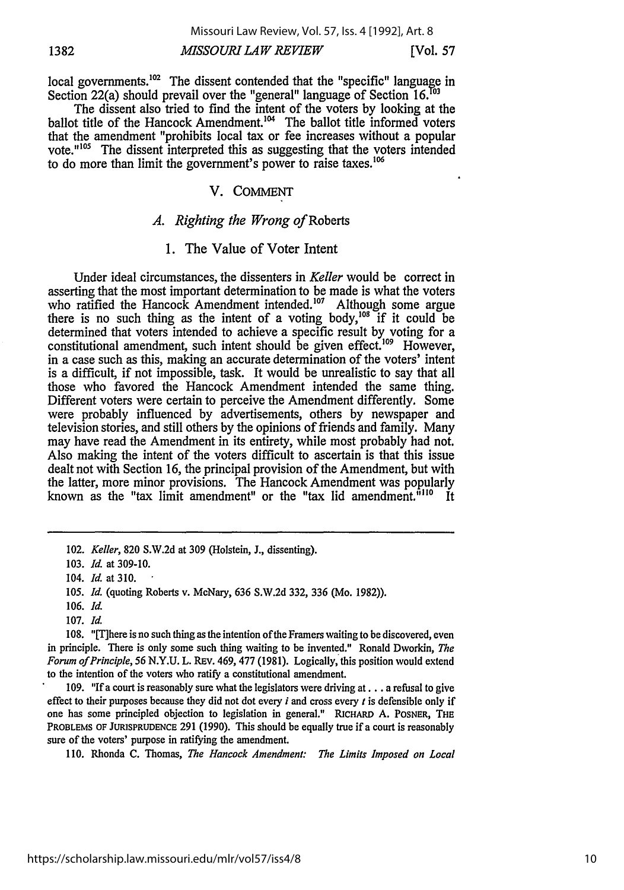# *MISSOURI LAW REVIEW* **1382** [Vol. **57**

local governments.<sup>102</sup> The dissent contended that the "specific" language in Section 22(a) should prevail over the "general" language of Section 16.<sup>163</sup>

The dissent also tried to find the intent of the voters by looking at the  $b$ allot title of the Hancock Amendment.<sup>104</sup> The ballot title informed voters that the amendment "prohibits local tax or fee increases without a popular vote."<sup>105</sup> The dissent interpreted this as suggesting that the voters intended to do more than limit the government's power to raise taxes.<sup>106</sup>

# V. COMMENT

# *A. Righting the Wrong of* Roberts

# 1. The Value of Voter Intent

Under ideal circumstances, the dissenters in *Keller* would be correct in asserting that the most important determination to be made is what the voters who ratified the Hancock Amendment intended.<sup>107</sup> Although some argue there is no such thing as the intent of a voting body, $^{108}$  if it could be determined that voters intended to achieve a specific result by voting for a constitutional amendment, such intent should be given effect.<sup>109</sup> However, in a case such as this, making an accurate determination of the voters' intent is a difficult, if not impossible, task. It would be unrealistic to say that all those who favored the Hancock Amendment intended the same thing. Different voters were certain to perceive the Amendment differently. Some were probably influenced by advertisements, others by newspaper and television stories, and still others by the opinions of friends and family. Many may have read the Amendment in its entirety, while most probably had not. Also making the intent of the voters difficult to ascertain is that this issue dealt not with Section 16, the principal provision of the Amendment, but with the latter, more minor provisions. The Hancock Amendment was popularly known as the "tax limit amendment" or the "tax lid amendment.<sup>"110</sup> It

107. *Id.*

108. "There is no such thing as the intention of the Framers waiting to be discovered, even in principle. There is only some such thing waiting to be invented." Ronald Dworkin, *The Forum of Principle, 56* N.Y.U. L. REv. 469, 477 (1981). Logically, this position would extend to the intention of the voters who ratify a constitutional amendment.

109. **"If** a court is reasonably sure what the legislators were driving at... a refusal to give effect to their purposes because they did not dot every  $i$  and cross every  $t$  is defensible only if one has some principled objection to legislation in general." **RICHARD** A. POSNER, **THE** PROBLEMS OF **JURISPRUDENCE** 291 (1990). This should be equally true if a court is reasonably sure of the voters' purpose in ratifying the amendment.

110. Rhonda C. Thomas, *The Hancock Amendment: The Limits Imposed on Local*

<sup>102.</sup> *Keller,* 820 S.W.2d at 309 (Holstein, J., dissenting).

<sup>103.</sup> *Id.* at 309-10.

<sup>104.</sup> *Id.* at 310.

*<sup>105.</sup> Id.* (quoting Roberts v. McNary, 636 S.W.2d 332, 336 (Mo. 1982)).

<sup>106.</sup> *Id.*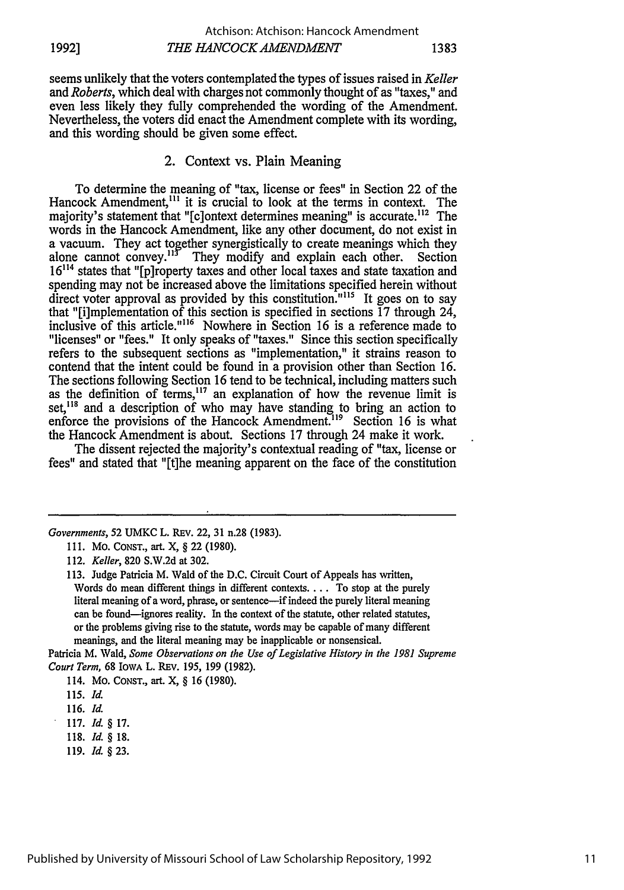seems unlikely that the voters contemplated the types of issues raised in *Keller and Roberts,* which deal with charges not commonly thought of as "taxes," and even less likely they fully comprehended the wording of the Amendment. Nevertheless, the voters did enact the Amendment complete with its wording, and this wording should be given some effect.

# 2. Context vs. Plain Meaning

To determine the meaning of "tax, license or fees" in Section 22 of the Hancock Amendment,<sup>111</sup> it is crucial to look at the terms in context. The majority's statement that "[c]ontext determines meaning" is accurate.<sup>112</sup> The words in the Hancock Amendment, like any other document, do not exist in a vacuum. They act together synergistically to create meanings which they alone cannot convey.<sup>113</sup> They modify and explain each other. Section **16"'** states that "[p]roperty taxes and other local taxes and state taxation and spending may not be increased above the limitations specified herein without direct voter approval as provided by this constitution.<sup>"115</sup> It goes on to say that "[i]mplementation of this section is specified in sections  $\overline{17}$  through  $24$ , inclusive of this article."<sup>116</sup> Nowhere in Section 16 is a reference made to "licenses" or "fees." It only speaks of "taxes." Since this section specifically refers to the subsequent sections as "implementation," it strains reason to contend that the intent could be found in a provision other than Section 16. The sections following Section 16 tend to be technical, including matters such as the definition of  $\text{terms}$ ,<sup>117</sup> an explanation of how the revenue limit is set,<sup>118</sup> and a description of who may have standing to bring an action to enforce the provisions of the Hancock Amendment.<sup>119</sup> Section 16 is what the Hancock Amendment is about. Sections 17 through 24 make it work.

The dissent rejected the majority's contextual reading of "tax, license or fees" and stated that "[t]he meaning apparent on the face of the constitution

*Governments,* 52 **UMKC** L. REv. 22, **31** n.28 **(1983).**

Patricia M. Wald, *Some Observations on the Use of Legislative History in the 1981 Supreme Court Term,* 68 IoWA L. REV. 195, 199 (1982).

114. MO. **CONST.,** art. X, § **16 (1980).**

**119.** *Id. §* **23.**

<sup>111.</sup> Mo. CONST., art. X, § 22 **(1980).**

<sup>112.</sup> *Keller,* 820 S.W.2d at 302.

<sup>113.</sup> Judge Patricia M. Wald of the D.C. Circuit Court of Appeals has written, Words do mean different things in different contexts.... To stop at the purely literal meaning of a word, phrase, or sentence-if indeed the purely literal meaning can be found-ignores reality. In the context of the statute, other related statutes, or the problems giving rise to the statute, words may be capable of many different meanings, and the literal meaning may be inapplicable or nonsensical.

**<sup>115.</sup>** *Id.*

**<sup>116.</sup>** *Id.*

**<sup>117.</sup>** *Id. §* **17.**

**<sup>118.</sup>** *Id. §* **18.**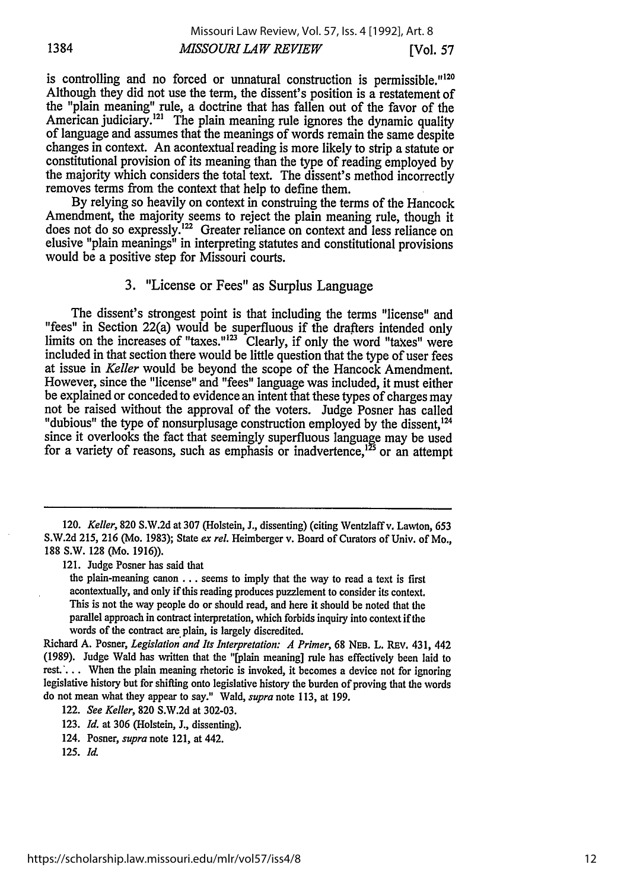is controlling and no forced or unnatural construction is permissible."<sup>120</sup> Although they did not use the term, the dissent's position is a restatement of the "plain meaning" rule, a doctrine that has fallen out of the favor of the American judiciary.<sup>121</sup> The plain meaning rule ignores the dynamic quality of language and assumes that the meanings of words remain the same despite changes in context. An acontextual reading is more likely to strip a statute or constitutional provision of its meaning than the type of reading employed by the majority which considers the total text. The dissent's method incorrectly removes terms from the context that help to define them.

By relying so heavily on context in construing the terms of the Hancock Amendment, the majority seems to reject the plain meaning rule, though it does not do so expressly.<sup>122</sup> Greater reliance on context and less reliance on elusive "plain meanings" in interpreting statutes and constitutional provisions would be a positive step for Missouri courts.

# 3. "License or Fees" as Surplus Language

The dissent's strongest point is that including the terms "license" and "fees" in Section 22(a) would be superfluous if the drafters intended only limits on the increases of "taxes."<sup>123</sup> Clearly, if only the word "taxes" were included in that section there would be little question that the type of user fees at issue in *Keller* would be beyond the scope of the Hancock Amendment. However, since the "license" and "fees" language was included, it must either be explained or conceded to evidence an intent that these types of charges may not be raised without the approval of the voters. Judge Posner has called "dubious" the type of nonsurplusage construction employed by the dissent.<sup>124</sup> since it overlooks the fact that seemingly superfluous language may be used for a variety of reasons, such as emphasis or inadvertence,<sup>125</sup> or an attempt

121. Judge Posner has said that

the plain-meaning canon **...** seems to imply that the way to read a text is first acontextually, and only if this reading produces puzzlement to consider its context. This is not the way people do or should read, and here it should be noted that the parallel approach in contract interpretation, which forbids inquiry into context if the words of the contract are plain, is largely discredited.

Richard A. Posner, *Legislation and Its Interpretation: A Primer,* 68 **NEB.** L. REv. 431, 442 (1989). Judge Wald has written that the "[plain meaning] rule has effectively been laid to rest.'... When the plain meaning rhetoric is invoked, it becomes a device not for ignoring legislative history but for shifting onto legislative history the burden of proving that the words do not mean what they appear to say." Wald, *supra* note 113, at 199.

122. *See Keller,* 820 S.W.2d at 302-03.

123. *Id.* at 306 (Holstein, J., dissenting).

124. Posner, *supra* note 121, at 442.

*125. Id.*

<sup>120.</sup> *Keller,* 820 S.W.2d at 307 (Holstein, J., dissenting) (citing Wentzlaffv. Lawton, 653 S.W.2d 215, 216 (Mo. 1983); State *ex rel.* Heimberger v. Board of Curators of Univ. of Mo., 188 S.W. 128 (Mo. 1916)).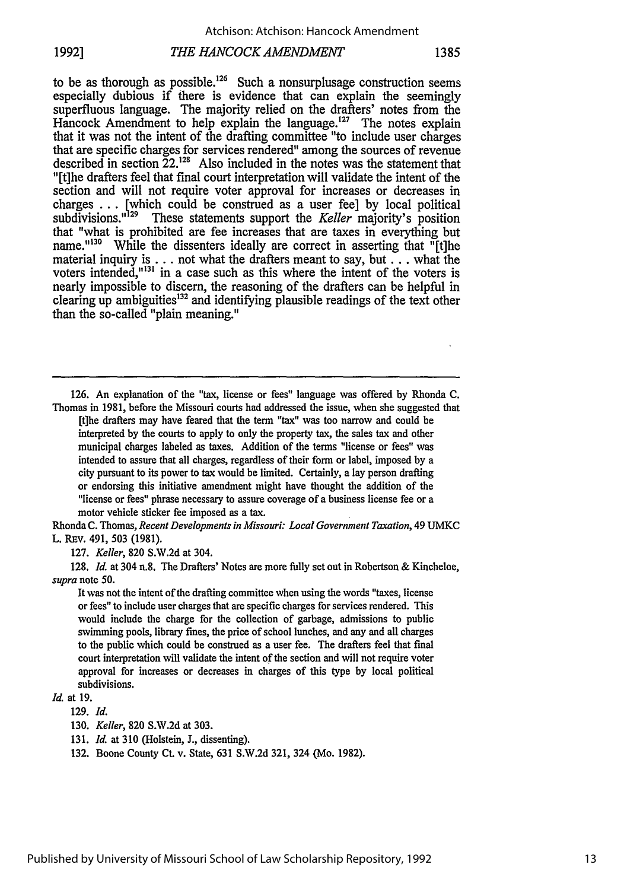# *THE HANCOCK AMENDMENT* **1992] 1385**

to be as thorough as possible.<sup>126</sup> Such a nonsurplusage construction seems especially dubious if there is evidence that can explain the seemingly superfluous language. The majority relied on the drafters' notes from the Hancock Amendment to help explain the language.<sup>127</sup> The notes explain that it was not the intent of the drafting committee "to include user charges that are specific charges for services rendered" among the sources of revenue described in section 22.<sup>128</sup> Also included in the notes was the statement that "[t]he drafters feel that final court interpretation will validate the intent of the section and will not require voter approval for increases or decreases in charges ... [which could be construed as a user fee] by local political subdivisions." $129$  These statements support the *Keller* maiority's position These statements support the *Keller* majority's position that "what is prohibited are fee increases that are taxes in everything but name."<sup>130</sup> While the dissenters ideally are correct in asserting that "[t]he material inquiry is ... not what the drafters meant to say, but **...** what the voters intended,"<sup>131</sup> in a case such as this where the intent of the voters is nearly impossible to discern, the reasoning of the drafters can be helpful in clearing up ambiguities<sup>132</sup> and identifying plausible readings of the text other than the so-called "plain meaning."

126. An explanation of the "tax, license or fees" language was offered by Rihonda C. Thomas in 1981, before the Missouri courts had addressed the issue, when she suggested that

[t]he drafters may have feared that the term "tax" was too narrow and could be interpreted by the courts to apply to only the property tax, the sales tax and other municipal charges labeled as taxes. Addition of the terms "license or fees" was intended to assure that all charges, regardless of their form or label, imposed by a city pursuant to its power to tax would be limited. Certainly, a lay person drafting or endorsing this initiative amendment might have thought the addition of the "license or fees" phrase necessary to assure coverage of a business license fee or a motor vehicle sticker fee imposed as a tax.

Rhonda C. Thomas, *Recent Developments in Missouri: Local Government Taxation,* 49 UMKC L. REv. 491, 503 (1981).

127. *Keller,* 820 S.W.2d at 304.

128. *Id.* at 304 n.8. The Drafters' Notes are more fully set out in Robertson & Kincheloe, *supra* note 50.

It was not the intent of the drafting committee when using the words "taxes, license or fees" to include user charges that are specific charges for services rendered. This would include the charge for the collection of garbage, admissions to public swimming pools, library fines, the price of school lunches, and any and all charges to the public which could be construed as a user fee. The drafters feel that final court interpretation will validate the intent of the section and will not require voter approval for increases or decreases in charges of this type by local political subdivisions.

#### *Id.* at 19.

129. *Id.*

<sup>130.</sup> *Keller,* 820 S.W.2d at 303.

<sup>131.</sup> *Id.* at 310 (Holstein, **J.,** dissenting).

<sup>132.</sup> Boone County Ct. v. State, 631 S.W.2d 321, 324 (Mo. 1982).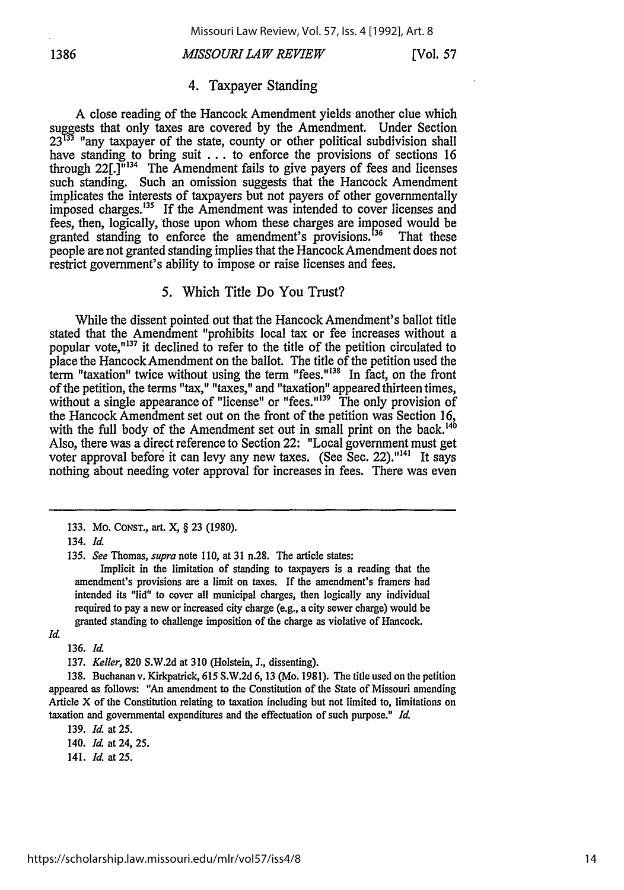## *MISSOURI LAW REVIEW* **1386** [Vol. **57**

#### 4. Taxpayer Standing

A close reading of the Hancock Amendment yields another clue which suggests that only taxes are covered by the Amendment. Under Section 23<sup>133</sup> "any taxpayer of the state, county or other political subdivision shall have standing to bring suit . . . to enforce the provisions of sections 16 through  $22$ [.] $\frac{1}{1}$ <sup>134</sup> The Amendment fails to give payers of fees and licenses such standing. Such an omission suggests that the Hancock Amendment implicates the interests of taxpayers but not payers of other governmentally implicates the interest of the Amendment was intended to cover licenses and fees, then, logically, those upon whom these charges are imposed would be granted standing to enforce the amendment's provisions.<sup>136</sup> That these granted standing to enforce the amendment's provisions.<sup>136</sup> people are not granted standing implies that the Hancock Amendment does not restrict government's ability to impose or raise licenses and fees.

#### 5. Which Title Do You Trust?

While the dissent pointed out that the Hancock Amendment's ballot title stated that the Amendment "prohibits local tax or fee increases without a popular vote, $"^{137}$  it declined to refer to the title of the petition circulated to place the Hancock Amendment on the ballot. The title of the petition used the term "taxation" twice without using the term "fees."<sup>138</sup> In fact, on the front of the petition, the terms "tax," "taxes," and "taxation" appeared thirteen times, without a single appearance of "license" or "fees."<sup>139</sup> The only provision of the Hancock Amendment set out on the front of the petition was Section 16, with the full body of the Amendment set out in small print on the back.<sup>140</sup> Also, there was a direct reference to Section 22: "Local government must get voter approval before it can levy any new taxes. (See Sec. 22).<sup>"141</sup> It says nothing about needing voter approval for increases in fees. There was even

Implicit in the limitation of standing to taxpayers is a reading that the amendment's provisions are a limit on taxes. If the amendment's framers had intended its "lid" to cover all municipal charges, then logically any individual required to pay a new or increased city charge (e.g., a city sewer charge) would be granted standing to challenge imposition of the charge as violative of Hancock.

**136.** *Id.*

137. *Keller,* **820 S.W.2d** at **310** (Holstein, **J.,** dissenting).

**138.** Buchanan **v.** Kirkpatrick, **615 S.W.2d 6, 13** (Mo. **1981).** The title **used on** the petition appeared as follows: "An amendment to the Constitution of the State of Missouri amending Article X of the Constitution relating to taxation including but not limited to, limitations on taxation and governmental expenditures and the effectuation of such purpose." *Id.*

**139.** *Id.* at 25.

140. *Id.* at 24, 25.

141. *Id.* at 25.

<sup>133.</sup> Mo. **CONST.,** art. X, § 23 (1980).

**<sup>134.</sup>** *Id.*

*<sup>135.</sup> See* Thomas, *supra note* 110, at 31 n.28. The article states:

*Id.*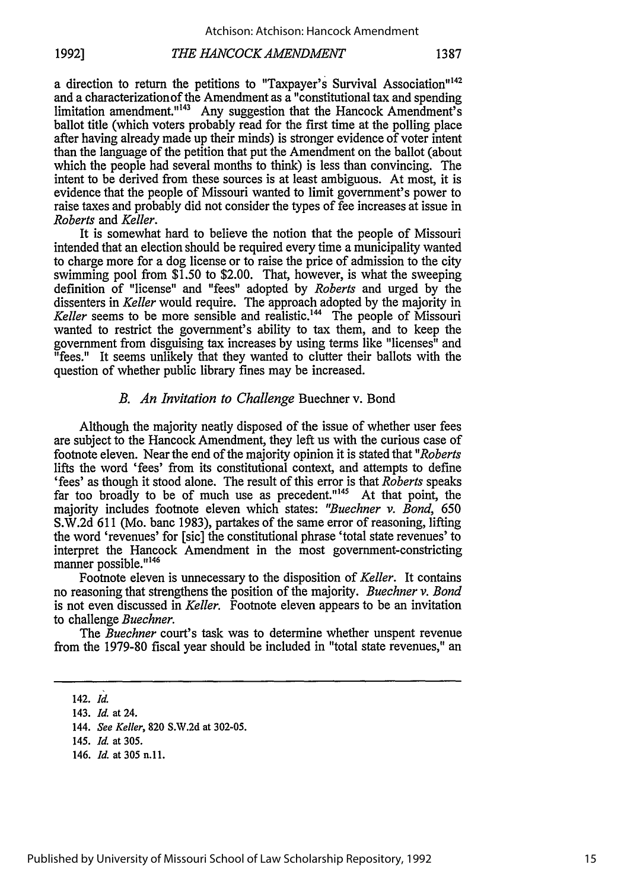a direction to return the petitions to "Taxpayer's Survival Association"<sup>142</sup> and a characterizationof the Amendment as a "constitutional tax and spending limitation amendment."<sup>143</sup> Any suggestion that the Hancock Amendment's ballot title (which voters probably read for the first time at the polling place after having already made up their minds) is stronger evidence of voter intent than the language of the petition that put the Amendment on the ballot (about which the people had several months to think) is less than convincing. The intent to be derived from these sources is at least ambiguous. At most, it is evidence that the people of Missouri wanted to limit government's power to raise taxes and probably did not consider the types of fee increases at issue in *Roberts and Keller.*

It is somewhat hard to believe the notion that the people of Missouri intended that an election should be required every time a municipality wanted to charge more for a dog license or to raise the price of admission to the city swimming pool from \$1.50 to \$2.00. That, however, is what the sweeping definition of "license" and "fees" adopted by *Roberts* and urged by the dissenters in *Keller* would require. The approach adopted by the majority in Keller seems to be more sensible and realistic.<sup>144</sup> The people of Missouri wanted to restrict the government's ability to tax them, and to keep the government from disguising tax increases by using terms like "licenses" and "fees." It seems unlikely that they wanted to clutter their ballots with the question of whether public library fines may be increased.

# *B. An Invitation to Challenge* Buechner v. Bond

Although the majority neatly disposed of the issue of whether user fees are subject to the Hancock Amendment, they left us with the curious case of footnote eleven. Near the end of the majority opinion it is stated that *"Roberts* lifts the word 'fees' from its constitutional context, and attempts to define 'fees' as though it stood alone. The result of this error is that *Roberts* speaks far too broadly to be of much use as precedent."<sup>145</sup> At that point, the majority includes footnote eleven which states: *"Buechner v. Bond,* 650 S.W.2d 611 (Mo. banc 1983), partakes of the same error of reasoning, lifting the word 'revenues' for [sic] the constitutional phrase 'total state revenues' to interpret the Hancock Amendment in the most government-constricting manner possible."<sup>146</sup>

Footnote eleven is unnecessary to the disposition of *Keller.* It contains no reasoning that strengthens the position of the majority. *Buechner v. Bond* is not even discussed in *Keller.* Footnote eleven appears to be an invitation to challenge *Buechner.*

The *Buechner* court's task was to determine whether unspent revenue from the 1979-80 fiscal year should be included in "total state revenues," an

146. *Id.* at **305 n.11.**

<sup>142.</sup> *Id.*

<sup>143.</sup> *Id.* at 24.

<sup>144.</sup> *See Keller,* 820 S.W.2d at 302-05.

<sup>145.</sup> *Id.* at 305.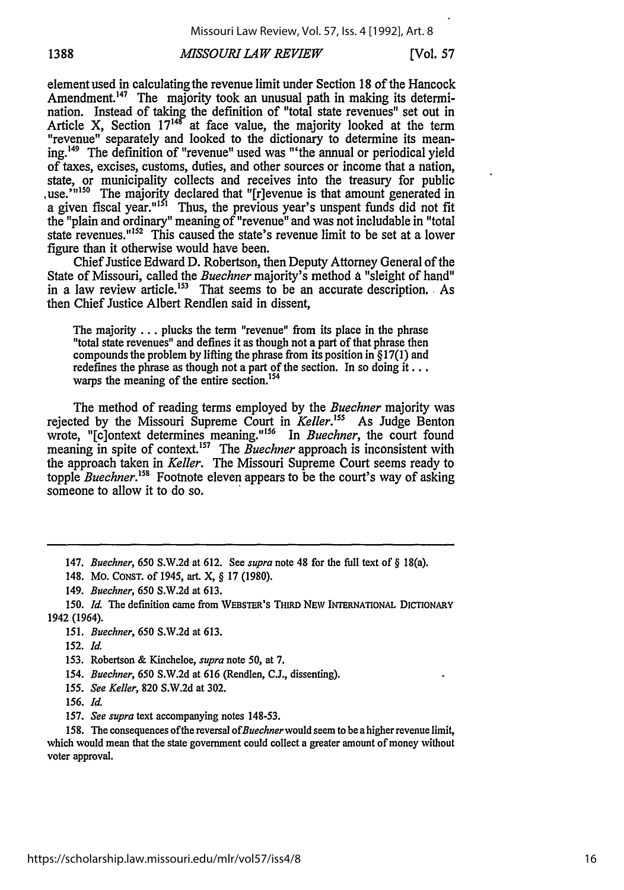# *MSSOURI LAW REVIEW* **1388** [Vol. **57**

element used in calculatingthe revenue limit under Section 18 of the Hancock Amendment.<sup>147</sup> The majority took an unusual path in making its determination. Instead of taking the definition of "total state revenues" set out in Article X, Section  $17^{148}$  at face value, the majority looked at the term "revenue" separately and looked to the dictionary to determine its meaning. 49 The definition of "revenue" used was "'the annual or periodical yield of taxes, excises, customs, duties, and other sources or income that a nation, state, or municipality collects and receives into the treasury for public use.<sup>'m150</sup> The majority declared that "[r]evenue is that amount generated in a given fiscal year."<sup>131</sup> Thus, the previous year's unspent funds did not fit the "plain and ordinary" meaning of "revenue" and was not includable in "total state revenues."<sup>152</sup> This caused the state's revenue limit to be set at a lower figure than it otherwise would have been.

Chief Justice Edward D. Robertson, then Deputy Attorney General of the State of Missouri, called the *Buechner* majority's method a "sleight of hand" in a law review article.<sup>153</sup> That seems to be an accurate description. As then Chief Justice Albert Rendlen said in dissent,

The majority **...** plucks the term "revenue" from its place in the phrase "total state revenues" and defines it as though not a part of that phrase then compounds the problem by lifting the phrase from its position in § 17(1) and redefines the phrase as though not a part of the section. In so doing it...<br>warps the meaning of the entire section.<sup>154</sup>

The method of reading terms employed by the *Buechner* majority was rejected by the Missouri Supreme Court in *Keller*.<sup>155</sup> As Judge Benton wrote, "[c]ontext determines meaning."<sup>156</sup> In *Buechner*, the court found meaning in spite of context.<sup>157</sup> The *Buechner* approach is inconsistent with the approach taken in *Keller.* The Missouri Supreme Court seems ready to topple *Buechner*.<sup>158</sup> Footnote eleven appears to be the court's way of asking someone to allow it to do so.

148. Mo. CONST. of 1945, art. X, § 17 (1980).

149. *Buechner, 650* S.W.2d at 613.

*150. Id.* The definition came from WEBSTER's THIRD **NEw** INTERNATIONAL DICTIONARY 1942 (1964).

*151. Buechner, 650* S.W.2d at 613.

152. *Id.*

153. Robertson & Kincheloe, *supra* note 50, at 7.

*154. Buechner, 650* S.W.2d at 616 (Rendlen, C.J., dissenting).

*155. See Keller,* 820 S.W.2d at 302.

156. *Id.*

157. *See supra* text accompanying notes 148-53.

158. The consequences ofthe reversal *of Buechner* would seem to be a higher revenue limit, which would mean that the state government could collect a greater amount of money without voter approval.

<sup>147.</sup> *Buechner, 650* S.W.2d at 612. See *supra* note 48 for the full text of § 18(a).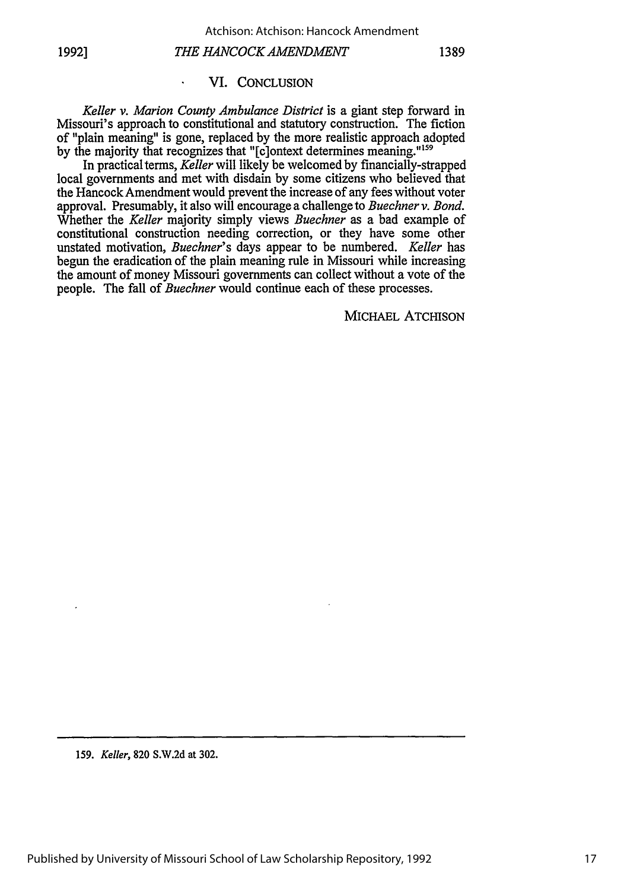# *THE HANCOCK AMENDMENT* **19921 1389**

 $\ddot{\phantom{a}}$ 

#### VI. CONCLUSION

*Keller v. Marion County Ambulance District* is a giant step forward in Missouri's approach to constitutional and statutory construction. The fiction of "plain meaning" is gone, replaced by the more realistic approach adopted by the majority that recognizes that "[c]ontext determines meaning."<sup>159</sup>

In practical terms, *Keller* will likely be welcomed by financially-strapped local governments and met with disdain by some citizens who believed that the Hancock Amendment would prevent the increase of any fees without voter approval. Presumably, it also will encourage a challenge to *Buechner v. Bond.* Whether the *Keller* majority simply views *Buechner* as a bad example of constitutional construction needing correction, or they have some other unstated motivation, *Buechner's* days appear to be numbered. *Keller* has begun the eradication of the plain meaning rule in Missouri while increasing the amount of money Missouri governments can collect without a vote of the people. The fall of *Buechner* would continue each of these processes.

MICHAEL ATCHISON

**159.** *Keller,* **820 S.W.2d** at **302.**